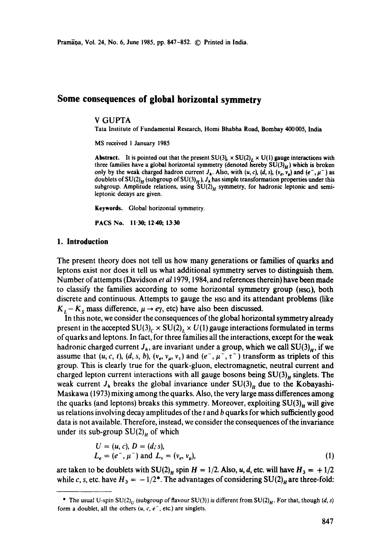# **Some consequences of global horizontal symmetry**

### V GUPTA

Tata Institute of Fundamental Research, Homi Bhabha Road, Bombay 400005, India

MS received 1 January 1985

**Abstract.** It is pointed out that the present  $SU(3)_c \times SU(2)_L \times U(1)$  gauge interactions with three families have a global horizontal symmetry (denoted hereby  $SU(3)_H$ ) which is broken only by the weak charged hadron current  $J_h$ . Also, with  $(u, c)$ ,  $(d, s)$ ,  $(v_e, v_a)$  and  $(e^-, \mu^-)$  as doublets of SU(2)<sub>H</sub> (subgroup of SU(3)<sub>H</sub>),  $J<sub>h</sub>$  has simple transformation properties under this subgroup. Amplitude relations, using  $SU(2)_H$  symmetry, for hadronic leptonic and semileptonic decays are given.

**Keywords.** Global horizontal symmetry.

**PACS No. 11-30; 12.40, 13.30** 

#### **1. Introduction**

The present theory does not tell us how many generations or families of quarks and leptons exist nor does it tell us what additional symmetry serves to distinguish them. Number ofattempts (Davidson *et al* 1979, 1984, and references therein) have been made to classify the families according to some horizontal symmetry group ( $HSG$ ), both discrete and continuous. Attempts to gauge the  $HSS$  and its attendant problems (like  $K_L - K_s$  mass difference,  $\mu \rightarrow e\gamma$ , etc) have also been discussed.

In this note, we consider the consequences of the global horizontal symmetry already present in the accepted  $SU(3)_c \times SU(2)_L \times U(1)$  gauge interactions formulated in terms of quarks and leptons. In fact, for three families all the interactions, except for the weak hadronic charged current  $J_h$ , are invariant under a group, which we call  $SU(3)_H$ , if we assume that  $(u, c, t)$ ,  $(d, s, b)$ ,  $(v_e, v_\mu, v_\tau)$  and  $(e^-, \mu^-, \tau^+)$  transform as triplets of this group. This is clearly true for the quark-gluon, electromagnetic, neutral current and charged lepton current interactions with all gauge bosons being  $SU(3)_n$  singlets. The weak current  $J_h$  breaks the global invariance under  $SU(3)_H$  due to the Kobayashi-Maskawa (1973) mixing among the quarks. Also, the very large mass differences among the quarks (and leptons) breaks this symmetry. Moreover, exploiting  $SU(3)_H$  will give us relations involving decay amplitudes of the  $t$  and  $b$  quarks for which sufficiently good data is not available. Therefore, instead, we consider the consequences of the invariance under its sub-group  $SU(2)_H$  of which

$$
U = (u, c), D = (d, s),
$$
  
\n
$$
L_e = (e^-, \mu^-) \text{ and } L_v = (v_e, v_\mu),
$$
\n(1)

are taken to be doublets with  $SU(2)_H$  spin  $H = 1/2$ . Also, u, d, etc. will have  $H_3 = +1/2$ while c, s, etc. have  $H_3 = -1/2^*$ . The advantages of considering  $SU(2)_H$  are three-fold:

<sup>\*</sup> The usual U-spin  $SU(2)_U$  (subgroup of flavour  $SU(3)$ ) is different from  $SU(2)_H$ . For that, though *(d, s)* form a doublet, all the others  $(u, c, e^-,$  etc.) are singlets.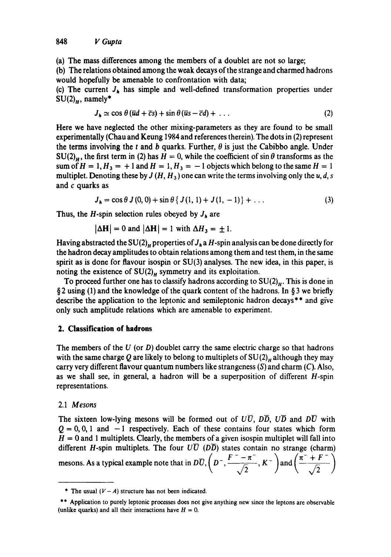(a) The mass differences among the members of a doublet are not so large;

(b) The relations obtained among the weak decays of the strange and charmed hadrons would hopefully be amenable to confrontation with data;

(c) The current  $J_h$  has simple and well-defined transformation properties under  $SU(2)<sub>H</sub>$ , namely\*

$$
J_h \simeq \cos \theta \left( \overline{u}d + \overline{c}s \right) + \sin \theta \left( \overline{u}s - \overline{c}d \right) + \dots \tag{2}
$$

Here we have neglected the other mixing-parameters as they are found to be small experimentally (Chau and Keung 1984 and references therein). The dots in (2) represent the terms involving the t and b quarks. Further,  $\theta$  is just the Cabibbo angle. Under  $SU(2)_u$ , the first term in (2) has  $H = 0$ , while the coefficient of sin  $\theta$  transforms as the sum of  $H = 1$ ,  $H_3 = +1$  and  $H = 1$ ,  $H_3 = -1$  objects which belong to the same  $H = 1$ multiplet. Denoting these by  $J(H, H_3)$  one can write the terms involving only the u, d, s and c quarks as

$$
J_h = \cos \theta \, J(0,0) + \sin \theta \, \{ J(1,1) + J(1,-1) \} + \dots \tag{3}
$$

Thus, the H-spin selection rules obeyed by  $J_h$  are

$$
|\Delta \mathbf{H}| = 0 \text{ and } |\Delta \mathbf{H}| = 1 \text{ with } \Delta H_3 = \pm 1.
$$

Having abstracted the SU(2)<sub>H</sub> properties of  $J_h$  a H-spin analysis can be done directly for the hadron decay amplitudes to obtain relations among them and test them, in the same spirit as is done for flavour isospin or SU(3) analyses. The new idea, in this paper, is noting the existence of  $SU(2)_H$  symmetry and its exploitation.

To proceed further one has to classify hadrons according to  $SU(2)<sub>n</sub>$ . This is done in § 2 using (1) and the knowledge of the quark content of the hadrons. In § 3 we briefly describe the application to the leptonic and semileptonic hadron decays<sup>\*\*</sup> and give only such amplitude relations which are amenable to experiment.

# **2. Classification of hadrons**

The members of the  $U$  (or  $D$ ) doublet carry the same electric charge so that hadrons with the same charge Q are likely to belong to multiplets of  $SU(2)_n$  although they may carry very different flavour quantum numbers like strangeness  $(S)$  and charm  $(C)$ . Also, as we shall see, in general, a hadron will be a superposition of different H-spin representations.

# 2.1 *Mesons*

The sixteen low-lying mesons will be formed out of  $U\overline{U}$ ,  $D\overline{D}$ ,  $U\overline{D}$  and  $D\overline{U}$  with  $Q = 0, 0, 1$  and  $-1$  respectively. Each of these contains four states which form  $H = 0$  and 1 multiplets. Clearly, the members of a given isospin multiplet will fall into different H-spin multiplets. The four  $U\overline{U}$  ( $D\overline{D}$ ) states contain no strange (charm) mesons. As a typical example note that in  $D\overline{U}$ ,  $\left(D^{-}, \frac{F^{-} - n}{\sqrt{2}}, K^{-} \right)$  and  $\left(\frac{n^2 + F^{-}}{\sqrt{2}}\right)$ 

<sup>\*</sup> The usual  $(V-A)$  structure has not been indicated.

<sup>\*\*</sup> Application to purely leptonic processes does not give anything new since the leptons are observable (unlike quarks) and all their interactions have  $H = 0$ .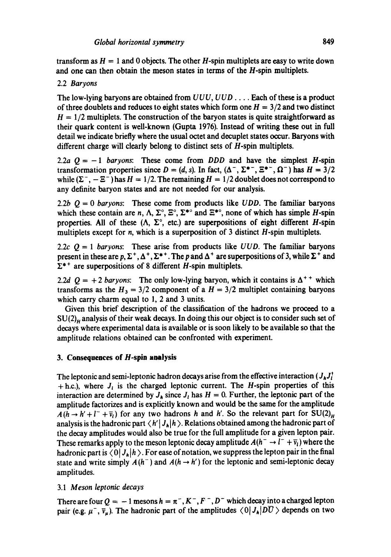transform as  $H = 1$  and 0 objects. The other H-spin multiplets are easy to write down and one can then obtain the meson states in terms of the H-spin multiplets.

## 2.2 *Baryons*

The low-lying baryons are obtained from *UUU, UUD ....* Each of these is a product of three doublets and reduces to eight states which form one  $H = 3/2$  and two distinct  $H = 1/2$  multiplets. The construction of the baryon states is quite straightforward as their quark content is well-known (Gupta 1976). Instead of writing these out in full detail we indicate briefly where the usual octet and deeuplet states occur. Baryons with different charge will clearly belong to distinct sets of H-spin multiplets.

2.2a  $Q = -1$  *baryons:* These come from *DDD* and have the simplest *H*-spin transformation properties since  $D = (d, s)$ . In fact,  $(\Delta^{-}, \Sigma^{*-}, \Xi^{*-}, \Omega^{-})$  has  $H = 3/2$ while  $(\Sigma^-,-\Xi^-)$  has  $H=1/2$ . The remaining  $H=1/2$  doublet does not correspond to any definite baryon states and are not needed for our analysis.

2.2b  $Q = 0$  *baryons*: These come from products like *UDD*. The familiar baryons which these contain are n,  $\Lambda$ ,  $\Sigma^{\circ}$ ,  $\Xi^{\circ}$ ,  $\Sigma^{*\circ}$  and  $\Xi^{*\circ}$ , none of which has simple H-spin properties. All of these  $(\Lambda, \Sigma^{\circ})$ , etc.) are superpositions of eight different H-spin multiplets except for  $n$ , which is a superposition of 3 distinct  $H$ -spin multiplets.

2.2c  $Q = 1$  *baryons*: These arise from products like *UUD*. The familiar baryons present in these are p,  $\Sigma^+$ ,  $\Delta^+$ ,  $\Sigma^{*+}$ . The p and  $\Delta^+$  are superpositions of 3, while  $\Sigma^+$  and  $\Sigma^{++}$  are superpositions of 8 different H-spin multiplets.

2.2d  $Q = +2$  baryons: The only low-lying baryon, which it contains is  $\Delta^{++}$  which transforms as the  $H_3 = 3/2$  component of a  $H = 3/2$  multiplet containing baryons which carry charm equal to 1, 2 and 3 units.

Given this brief description of the classification of the hadrons we proceed to a  $SU(2)_u$  analysis of their weak decays. In doing this our object is to consider such set of decays where experimental data is available or is soon likely to be available so that the amplitude relations obtained can be confronted with experiment.

# **3. Consequences of H-spin analysis**

The leptonic and semi-leptonic hadron decays arise from the effective interaction ( $J_hJ_l^{\dagger}$  $+$  h.c.), where  $J_i$  is the charged leptonic current. The *H*-spin properties of this interaction are determined by  $J<sub>A</sub>$  since  $J<sub>I</sub>$  has  $H = 0$ . Further, the leptonic part of the amplitude factorizes and is explicitly known and would be the same for the amplitude  $A (h \rightarrow h' + l^- + \bar{\nu}_l)$  for any two hadrons h and h'. So the relevant part for  $SU(2)_H$ analysis is the hadronic part  $\langle h'| J_h | h \rangle$ . Relations obtained among the hadronic part of the decay amplitudes would also be true for the full amplitude for a given lepton pair. These remarks apply to the meson leptonic decay amplitude  $A(h^- \rightarrow l^- + \overline{v}_l)$  where the hadronic part is  $\langle 0 | J_h | h \rangle$ . For ease of notation, we suppress the lepton pair in the final state and write simply  $A(h^-)$  and  $A(h \rightarrow h')$  for the leptonic and semi-leptonic decay amplitudes.

# 3.1 *Meson leptonic decays*

There are four  $Q = -1$  mesons  $h = \pi^{-}$ ,  $K^{-}$ ,  $F^{-}$ ,  $D^{-}$  which decay into a charged lepton pair (e.g.  $\mu^-$ ,  $\bar{v}_\mu$ ). The hadronic part of the amplitudes  $\langle 0|J_h|D\bar{U}\rangle$  depends on two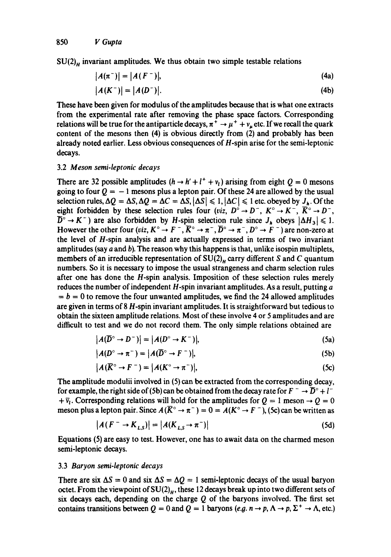$SU(2)_H$  invariant amplitudes. We thus obtain two simple testable relations

$$
|A(\pi^-)| = |A(F^-)|,\t(4a)
$$

$$
|A(K^-)| = |A(D^-)|. \tag{4b}
$$

These have been given for modulus of the amplitudes because that is what one extracts from the experimental rate after removing the phase space factors. Corresponding relations will be true for the antiparticle decays,  $\pi^+ \rightarrow \mu^+ + \nu_\mu$  etc. If we recall the quark content of the mesons then (4) is obvious directly from (2) and probably has been already noted earlier. Less obvious consequences of H-spin arise for the semi-leptonic decays.

#### 3.2 *Meson semi-leptonic decays*

There are 32 possible amplitudes  $(h \rightarrow h' + l^+ + v_t)$  arising from eight  $Q = 0$  mesons going to four  $Q = -1$  mesons plus a lepton pair. Of these 24 are allowed by the usual selection rules,  $\Delta Q = \Delta S$ ,  $\Delta Q = \Delta C = \Delta S$ ,  $|\Delta S| \le 1$ ,  $|\Delta C| \le 1$  etc. obeyed by  $J_h$ . Of the eight forbidden by these selection rules four *(viz, D<sup>o</sup>*  $\rightarrow$  *D<sup>-</sup>, K<sup>o</sup>*  $\rightarrow$  *K<sup>-</sup>,*  $\bar{K}^{\circ} \rightarrow D^{-}$ *,*  $\overline{D}^{\circ} \rightarrow K^{-}$ ) are also forbidden by *H*-spin selection rule since  $J_{h}$  obeys  $|\Delta H_{3}| \leq 1$ . However the other four *(viz, K<sup>o</sup>*  $\rightarrow$  F<sup>-</sup>, K<sup>o</sup>  $\rightarrow$   $\pi$ <sup>-</sup>,  $\overline{D}^{\circ}$   $\rightarrow$   $\pi$ <sup>-</sup>,  $D^{\circ}$   $\rightarrow$  F<sup>-</sup>) are non-zero at the level of H-spin analysis and are actually expressed in terms of two invariant amplitudes (say  $a$  and  $b$ ). The reason why this happens is that, unlike isospin multiplets, members of an irreducible representation of  $SU(2)_n$  carry different S and C quantum numbers. So it is necessary to impose the usual strangeness and charm selection rules after one has done the H-spin analysis. Imposition of these selection rules merely reduces the number of independent  $H$ -spin invariant amplitudes. As a result, putting  $a$  $b = b = 0$  to remove the four unwanted amplitudes, we find the 24 allowed amplitudes are given in terms of 8 H-spin invariant amplitudes. It is straightforward but tedious to obtain the sixteen amplitude relations. Most of these involve 4 or 5 amplitudes and arc difficult to test and we do not record them. The only simple relations obtained are

$$
|A(\overline{D}^{\circ} \to D^{-})| = |A(D^{\circ} \to K^{-})|,
$$
\n(5a)

$$
|A(D^{\circ} \to \pi^{-}) = |A(\overline{D}^{\circ} \to F^{-})|,
$$
 (5b)

$$
|A(\overline{K}^{\circ} \to F^{-}) = |A(K^{\circ} \to \pi^{-})|, \tag{5c}
$$

The amplitude modulii involved in (5) can be extracted from the corresponding decay, for example, the right side of (5b) can be obtained from the decay rate for  $F^{-} \rightarrow \overline{D}^{\circ} + l^{-}$  $+ \bar{\nu}_1$ . Corresponding relations will hold for the amplitudes for  $Q = 1$  meson  $\rightarrow Q = 0$ meson plus a lepton pair. Since  $A(\overline{K}^{\circ} \to \pi^{-}) = 0 = A(K^{\circ} \to F^{-})$ , (5c) can be written as

$$
|A(F^- \to K_{L,S})| = |A(K_{L,S} \to \pi^-)| \tag{5d}
$$

Equations (5) are easy to test. However, one has to await data on the charmed meson semi-leptonic decays.

#### 3.3 *Baryon semi-leptonic decays*

There are six  $\Delta S = 0$  and six  $\Delta S = \Delta Q = 1$  semi-leptonic decays of the usual baryon octet. From the viewpoint of  $SU(2)_H$ , these 12 decays break up into two different sets of six decays each, depending on the charge  $Q$  of the baryons involved. The first set contains transitions between  $Q = 0$  and  $Q = 1$  baryons (e.g.  $n \to p$ ,  $\Lambda \to p$ ,  $\Sigma^+ \to \Lambda$ , etc.)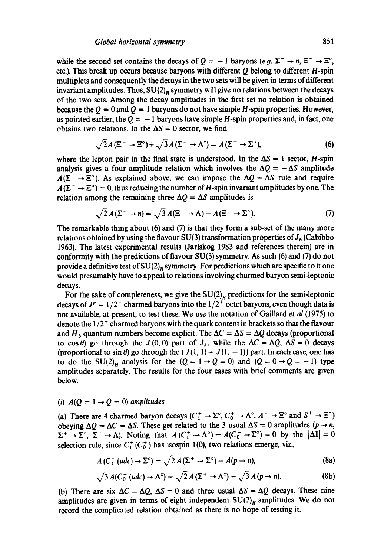while the second set contains the decays of  $Q = -1$  baryons *(e.g.*  $\Sigma^- \rightarrow n$ ,  $\Xi^- \rightarrow \Xi^{\circ}$ , etc.). This break up occurs because baryons with different  $Q$  belong to different  $H$ -spin multiplets and consequently the decays in the two sets will be given in terms of different invariant amplitudes. Thus,  $SU(2)_H$  symmetry will give no relations between the decays of the two sets. Among the decay amplitudes in the first set no relation is obtained because the  $Q = 0$  and  $Q = 1$  baryons do not have simple H-spin properties. However, as pointed earlier, the  $Q = -1$  baryons have simple H-spin properties and, in fact, one obtains two relations. In the  $\Delta S = 0$  sector, we find

$$
\sqrt{2}A(\Xi^{-} \to \Xi^{0}) + \sqrt{3}A(\Sigma^{-} \to \Lambda^{0}) = A(\Sigma^{-} \to \Sigma^{0}),
$$
 (6)

where the lepton pair in the final state is understood. In the  $\Delta S = 1$  sector, *H*-spin analysis gives a four amplitude relation which involves the  $\Delta Q = -\Delta S$  amplitude  $A(\Sigma^{-} \rightarrow \Xi^{\circ})$ . As explained above, we can impose the  $\Delta Q = \Delta S$  rule and require  $A(\Sigma^{-} \rightarrow \Xi^{0}) = 0$ , thus reducing the number of H-spin invariant amplitudes by one. The relation among the remaining three  $\Delta Q = \Delta S$  amplitudes is

$$
\sqrt{2} A (\Sigma^- \to n) = \sqrt{3} A (\Xi^- \to \Lambda) - A (\Xi^- \to \Sigma^{\circ}), \tag{7}
$$

The remarkable thing about (6) and (7) is that they form a sub-set of the many more relations obtained by using the flavour SU(3) transformation properties of  $J_h$  (Cabibbo 1963). The latest experimental results (Jarlskog 1983 and references therein) are in conformity with the predictions of flavour  $SU(3)$  symmetry. As such (6) and (7) do not provide a definitive test of  $SU(2)_H$  symmetry. For predictions which are specific to it one would presumably have to appeal to relations involving charmed baryon semi-leptonic decays.

For the sake of completeness, we give the  $SU(2)_H$  predictions for the semi-leptonic decays of  $J^p = 1/2^+$  charmed baryons into the  $1/2^+$  octet baryons, even though data is not available, at present, to test these. We use the notation of Gaillard *et al* (1975) to denote the  $1/2^+$  charmed baryons with the quark content in brackets so that the flavour and H<sub>3</sub> quantum numbers become explicit. The  $\Delta C = \Delta S = \Delta Q$  decays (proportional to cos  $\theta$ ) go through the  $J(0, 0)$  part of  $J_h$ , while the  $\Delta C = \Delta Q$ ,  $\Delta S = 0$  decays (proportional to sin  $\theta$ ) go through the  $(J(1, 1) + J(1, -1))$  part. In each case, one has to do the SU(2)<sub>H</sub> analysis for the  $(Q = 1 \rightarrow Q = 0)$  and  $(Q = 0 \rightarrow Q = -1)$  type amplitudes separately. The results for the four cases with brief comments are given below.

## *(i) A(Q = 1 ~ Q = O) amplitudes*

(a) There are 4 charmed baryon decays  $(C_1^+ \to \Sigma^{\circ}, C_0^+ \to \Lambda^{\circ}, A^+ \to \Xi^{\circ}$  and  $S^+ \to \Xi^{\circ}$ ) obeying  $\Delta Q = \Delta C = \Delta S$ . These get related to the 3 usual  $\Delta S = 0$  amplitudes (p  $\rightarrow n$ ,  $\Sigma^+ \to \Sigma^{\circ}$ ,  $\Sigma^+ \to \Lambda$ ). Noting that  $A(C_1^+ \to \Lambda^{\circ}) = A(C_0^+ \to \Sigma^{\circ}) = 0$  by the  $|\Delta I| = 0$ selection rule, since  $C_1^+(C_0^+)$  has isospin 1(0), two relations emerge, viz.,

$$
A(C_1^+(udc) \to \Sigma^{\circ}) = \sqrt{2} A(\Sigma^+ \to \Sigma^{\circ}) - A(p \to n), \tag{8a}
$$

$$
\sqrt{3} A (C_0^+ (udc) \to \Lambda^{\circ}) = \sqrt{2} A (\Sigma^+ \to \Lambda^{\circ}) + \sqrt{3} A (p \to n). \tag{8b}
$$

(b) There are six  $\Delta C = \Delta Q$ ,  $\Delta S = 0$  and three usual  $\Delta S = \Delta Q$  decays. These nine amplitudes are given in terms of eight independent  $SU(2)_H$  amplitudes. We do not record the complicated relation obtained as there is no hope of testing it.